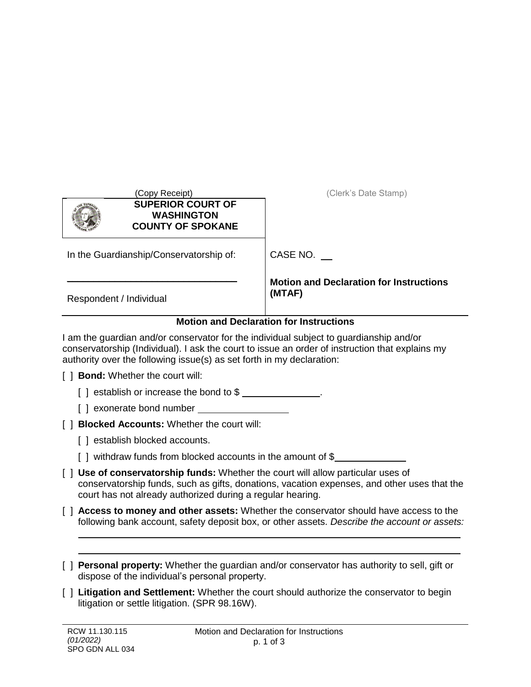| (Copy Receipt)<br><b>SUPERIOR COURT OF</b><br><b>WASHINGTON</b><br><b>COUNTY OF SPOKANE</b>                                                                                                                                                                        | (Clerk's Date Stamp)                                     |  |  |  |
|--------------------------------------------------------------------------------------------------------------------------------------------------------------------------------------------------------------------------------------------------------------------|----------------------------------------------------------|--|--|--|
| In the Guardianship/Conservatorship of:                                                                                                                                                                                                                            | CASE NO.                                                 |  |  |  |
| Respondent / Individual                                                                                                                                                                                                                                            | <b>Motion and Declaration for Instructions</b><br>(MTAF) |  |  |  |
| <b>Motion and Declaration for Instructions</b>                                                                                                                                                                                                                     |                                                          |  |  |  |
| I am the guardian and/or conservator for the individual subject to guardianship and/or<br>conservatorship (Individual). I ask the court to issue an order of instruction that explains my<br>authority over the following issue(s) as set forth in my declaration: |                                                          |  |  |  |
| <b>Bond:</b> Whether the court will:                                                                                                                                                                                                                               |                                                          |  |  |  |
| [] establish or increase the bond to \$ _______________.                                                                                                                                                                                                           |                                                          |  |  |  |
| [] exonerate bond number                                                                                                                                                                                                                                           |                                                          |  |  |  |
| <b>Blocked Accounts: Whether the court will:</b>                                                                                                                                                                                                                   |                                                          |  |  |  |
| .                                                                                                                                                                                                                                                                  |                                                          |  |  |  |

- [] establish blocked accounts.
- [ ] withdraw funds from blocked accounts in the amount of \$
- [ ] **Use of conservatorship funds:** Whether the court will allow particular uses of conservatorship funds, such as gifts, donations, vacation expenses, and other uses that the court has not already authorized during a regular hearing.
- [ ] **Access to money and other assets:** Whether the conservator should have access to the following bank account, safety deposit box, or other assets. *Describe the account or assets:*
- [ ] **Personal property:** Whether the guardian and/or conservator has authority to sell, gift or dispose of the individual's personal property.
- [ ] **Litigation and Settlement:** Whether the court should authorize the conservator to begin litigation or settle litigation. (SPR 98.16W).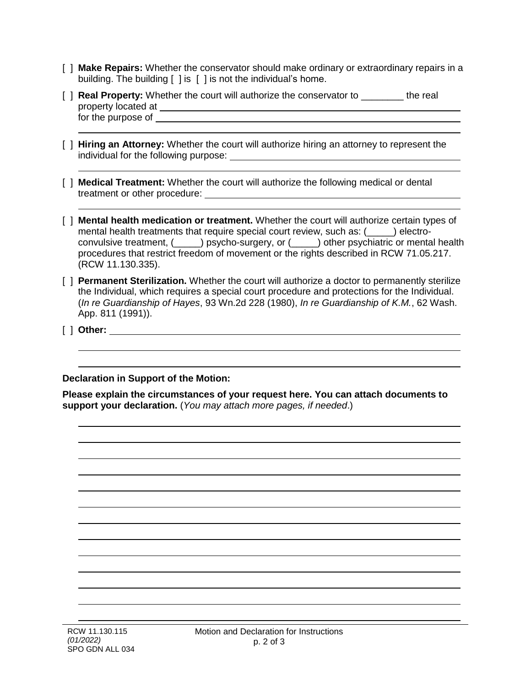- [ ] **Make Repairs:** Whether the conservator should make ordinary or extraordinary repairs in a building. The building [ ] is [ ] is not the individual's home.
- [ ] **Real Property:** Whether the court will authorize the conservator to \_\_\_\_\_\_\_\_ the real property located at for the purpose of
- [ ] **Hiring an Attorney:** Whether the court will authorize hiring an attorney to represent the individual for the following purpose:
- [ ] **Medical Treatment:** Whether the court will authorize the following medical or dental treatment or other procedure:
- [ ] **Mental health medication or treatment.** Whether the court will authorize certain types of mental health treatments that require special court review, such as: (\_\_\_\_\_) electroconvulsive treatment, (\_\_\_\_\_) psycho-surgery, or (\_\_\_\_\_) other psychiatric or mental health procedures that restrict freedom of movement or the rights described in RCW 71.05.217. (RCW 11.130.335).
- [ ] **Permanent Sterilization.** Whether the court will authorize a doctor to permanently sterilize the Individual, which requires a special court procedure and protections for the Individual. (*In re Guardianship of Hayes*, 93 Wn.2d 228 (1980), *In re Guardianship of K.M.*, 62 Wash. App. 811 (1991)).
- [ ] **Other:**

**Declaration in Support of the Motion:**

**Please explain the circumstances of your request here. You can attach documents to support your declaration.** (*You may attach more pages, if needed*.)